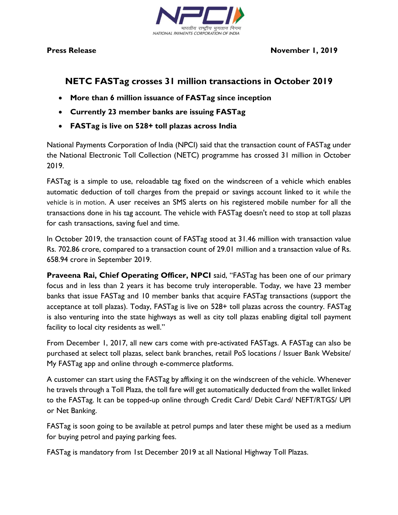

## **NETC FASTag crosses 31 million transactions in October 2019**

- **More than 6 million issuance of FASTag since inception**
- **Currently 23 member banks are issuing FASTag**
- **FASTag is live on 528+ toll plazas across India**

National Payments Corporation of India (NPCI) said that the transaction count of FASTag under the National Electronic Toll Collection (NETC) programme has crossed 31 million in October 2019.

FASTag is a simple to use, reloadable tag fixed on the windscreen of a vehicle which enables automatic deduction of toll charges from the prepaid or savings account linked to it while the vehicle is in motion. A user receives an SMS alerts on his registered mobile number for all the transactions done in his tag account. The vehicle with FASTag doesn't need to stop at toll plazas for cash transactions, saving fuel and time.

In October 2019, the transaction count of FASTag stood at 31.46 million with transaction value Rs. 702.86 crore, compared to a transaction count of 29.01 million and a transaction value of Rs. 658.94 crore in September 2019.

**Praveena Rai, Chief Operating Officer, NPCI** said, "FASTag has been one of our primary focus and in less than 2 years it has become truly interoperable. Today, we have 23 member banks that issue FASTag and 10 member banks that acquire FASTag transactions (support the acceptance at toll plazas). Today, FASTag is live on 528+ toll plazas across the country. FASTag is also venturing into the state highways as well as city toll plazas enabling digital toll payment facility to local city residents as well."

From December 1, 2017, all new cars come with pre-activated FASTags. A FASTag can also be purchased at select toll plazas, select bank branches, retail PoS locations / Issuer Bank Website/ My FASTag app and online through e-commerce platforms.

A customer can start using the FASTag by affixing it on the windscreen of the vehicle. Whenever he travels through a Toll Plaza, the toll fare will get automatically deducted from the wallet linked to the FASTag. It can be topped-up online through Credit Card/ Debit Card/ NEFT/RTGS/ UPI or Net Banking.

FASTag is soon going to be available at petrol pumps and later these might be used as a medium for buying petrol and paying parking fees.

FASTag is mandatory from 1st December 2019 at all National Highway Toll Plazas.